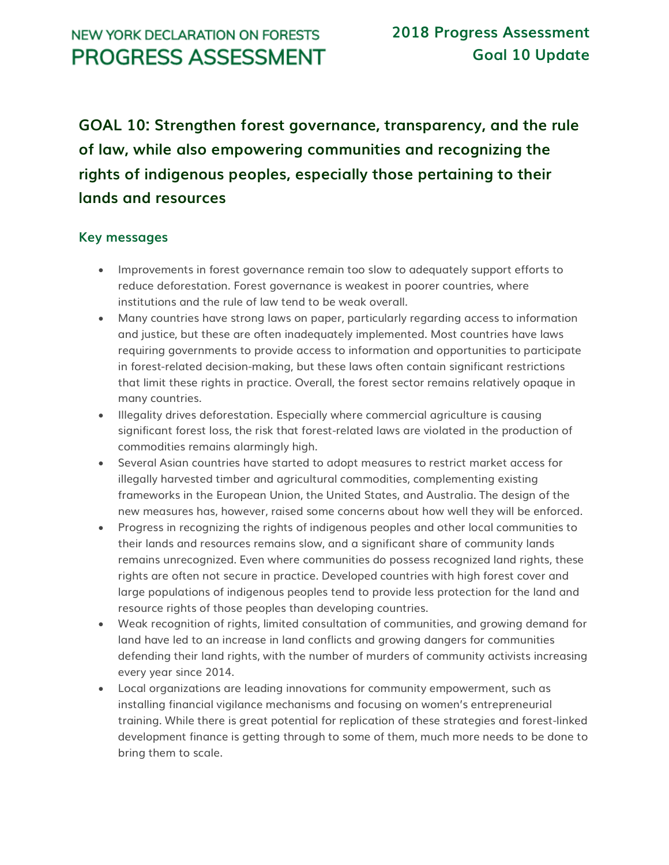# **NEW YORK DECLARATION ON FORESTS PROGRESS ASSESSMENT**

**GOAL 10: Strengthen forest governance, transparency, and the rule of law, while also empowering communities and recognizing the rights of indigenous peoples, especially those pertaining to their lands and resources**

#### **Key messages**

- Improvements in forest governance remain too slow to adequately support efforts to reduce deforestation. Forest governance is weakest in poorer countries, where institutions and the rule of law tend to be weak overall.
- Many countries have strong laws on paper, particularly regarding access to information and justice, but these are often inadequately implemented. Most countries have laws requiring governments to provide access to information and opportunities to participate in forest-related decision-making, but these laws often contain significant restrictions that limit these rights in practice. Overall, the forest sector remains relatively opaque in many countries.
- Illegality drives deforestation. Especially where commercial agriculture is causing significant forest loss, the risk that forest-related laws are violated in the production of commodities remains alarmingly high.
- Several Asian countries have started to adopt measures to restrict market access for illegally harvested timber and agricultural commodities, complementing existing frameworks in the European Union, the United States, and Australia. The design of the new measures has, however, raised some concerns about how well they will be enforced.
- Progress in recognizing the rights of indigenous peoples and other local communities to their lands and resources remains slow, and a significant share of community lands remains unrecognized. Even where communities do possess recognized land rights, these rights are often not secure in practice. Developed countries with high forest cover and large populations of indigenous peoples tend to provide less protection for the land and resource rights of those peoples than developing countries.
- Weak recognition of rights, limited consultation of communities, and growing demand for land have led to an increase in land conflicts and growing dangers for communities defending their land rights, with the number of murders of community activists increasing every year since 2014.
- Local organizations are leading innovations for community empowerment, such as installing financial vigilance mechanisms and focusing on women's entrepreneurial training. While there is great potential for replication of these strategies and forest-linked development finance is getting through to some of them, much more needs to be done to bring them to scale.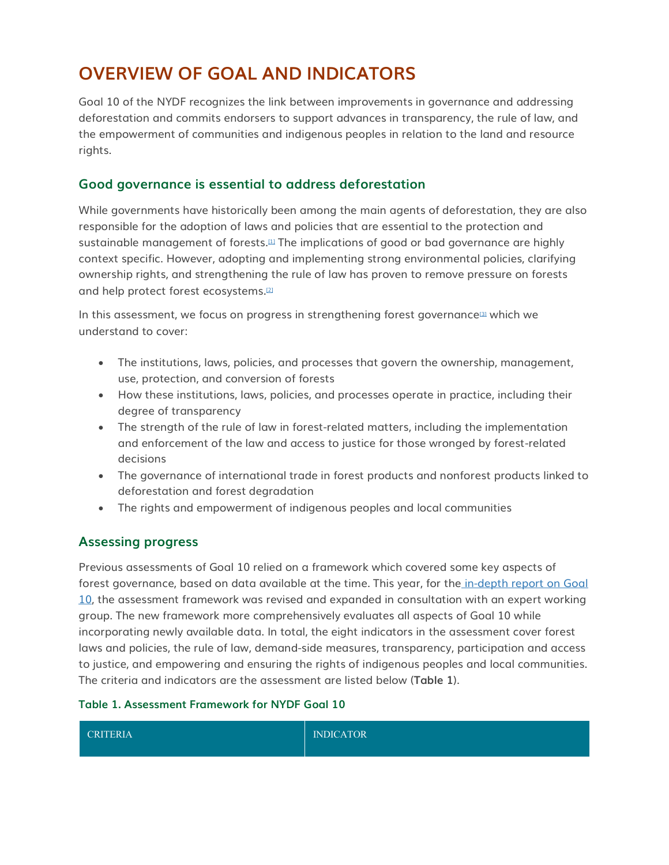# **OVERVIEW OF GOAL AND INDICATORS**

Goal 10 of the NYDF recognizes the link between improvements in governance and addressing deforestation and commits endorsers to support advances in transparency, the rule of law, and the empowerment of communities and indigenous peoples in relation to the land and resource rights.

#### **Good governance is essential to address deforestation**

While governments have historically been among the main agents of deforestation, they are also responsible for the adoption of laws and policies that are essential to the protection and sustainable management of forests.<sup>[\[1\]](http://forestdeclaration.org/goal/goal-10/#_edn1)</sup> The implications of good or bad governance are highly context specific. However, adopting and implementing strong environmental policies, clarifying ownership rights, and strengthening the rule of law has proven to remove pressure on forests and help protect forest ecosystems.[\[2\]](http://forestdeclaration.org/goal/goal-10/#_edn2)

In this assessment, we focus on progress in strengthening forest governance<sup>[\[3\]](http://forestdeclaration.org/goal/goal-10/#_edn3)</sup> which we understand to cover:

- The institutions, laws, policies, and processes that govern the ownership, management, use, protection, and conversion of forests
- How these institutions, laws, policies, and processes operate in practice, including their degree of transparency
- The strength of the rule of law in forest-related matters, including the implementation and enforcement of the law and access to justice for those wronged by forest-related decisions
- The governance of international trade in forest products and nonforest products linked to deforestation and forest degradation
- The rights and empowerment of indigenous peoples and local communities

#### **Assessing progress**

Previous assessments of Goal 10 relied on a framework which covered some key aspects of forest governance, based on data available at the time. This year, for the in-depth report on Goal [10,](http://forestdeclaration.org/wp-content/uploads/2018/11/NYDF-report-2018.pdf) the assessment framework was revised and expanded in consultation with an expert working group. The new framework more comprehensively evaluates all aspects of Goal 10 while incorporating newly available data. In total, the eight indicators in the assessment cover forest laws and policies, the rule of law, demand-side measures, transparency, participation and access to justice, and empowering and ensuring the rights of indigenous peoples and local communities. The criteria and indicators are the assessment are listed below (**Table 1**).

#### **Table 1. Assessment Framework for NYDF Goal 10**

| CRITERIA | <b>INDICATOR</b> |
|----------|------------------|
|          |                  |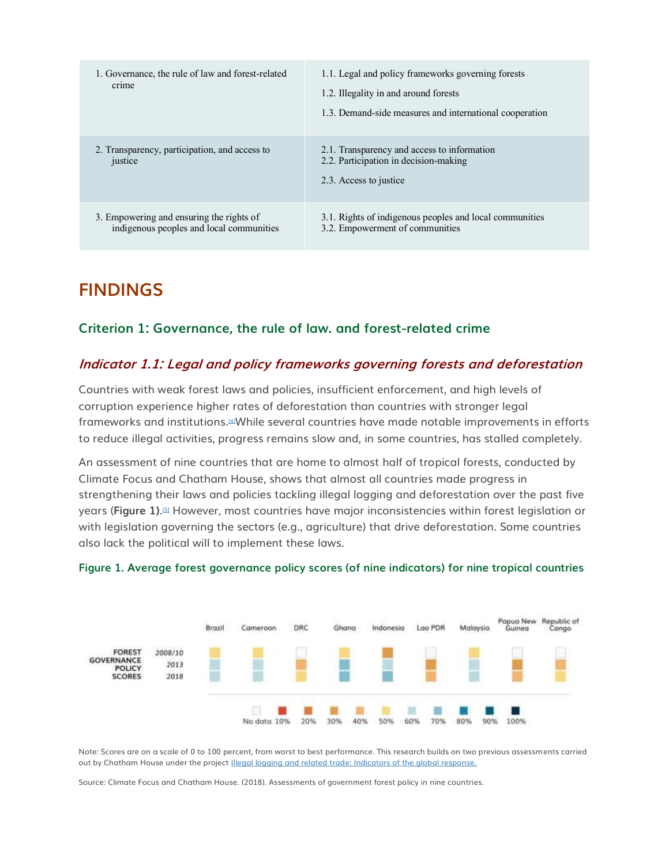| 1. Governance, the rule of law and forest-related<br>crime                           | 1.1. Legal and policy frameworks governing forests<br>1.2. Illegality in and around forests<br>1.3. Demand-side measures and international cooperation |
|--------------------------------------------------------------------------------------|--------------------------------------------------------------------------------------------------------------------------------------------------------|
| 2. Transparency, participation, and access to<br>justice                             | 2.1. Transparency and access to information<br>2.2. Participation in decision-making<br>2.3. Access to justice                                         |
| 3. Empowering and ensuring the rights of<br>indigenous peoples and local communities | 3.1. Rights of indigenous peoples and local communities<br>3.2. Empowerment of communities                                                             |

# **FINDINGS**

### **Criterion 1: Governance, the rule of law. and forest-related crime**

### **Indicator 1.1: Legal and policy frameworks governing forests and deforestation**

Countries with weak forest laws and policies, insufficient enforcement, and high levels of corruption experience higher rates of deforestation than countries with stronger legal frameworks and institutions.[\[4\]](http://forestdeclaration.org/goal/goal-10/#_edn4)While several countries have made notable improvements in efforts to reduce illegal activities, progress remains slow and, in some countries, has stalled completely.

An assessment of nine countries that are home to almost half of tropical forests, conducted by Climate Focus and Chatham House, shows that almost all countries made progress in strengthening their laws and policies tackling illegal logging and deforestation over the past five years (**Figure 1)**. [\[5\]](http://forestdeclaration.org/goal/goal-10/#_edn5) However, most countries have major inconsistencies within forest legislation or with legislation governing the sectors (e.g., agriculture) that drive deforestation. Some countries also lack the political will to implement these laws.





Note: Scores are on a scale of 0 to 100 percent, from worst to best performance. This research builds on two previous assessments carried out by Chatham House under the project [Illegal logging and related trade: Indicators of the global response.](https://indicators.chathamhouse.org/)

Source: Climate Focus and Chatham House. (2018). Assessments of government forest policy in nine countries.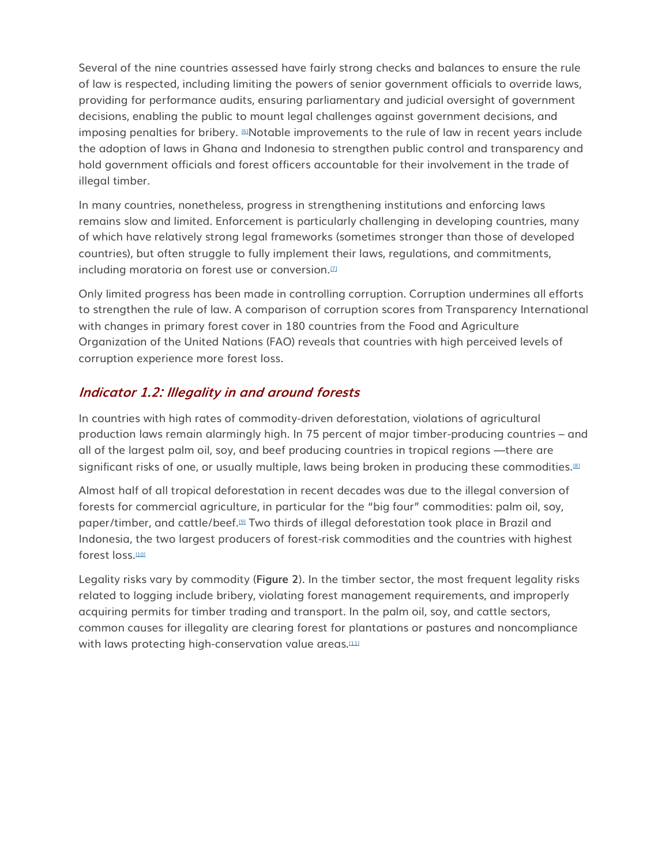Several of the nine countries assessed have fairly strong checks and balances to ensure the rule of law is respected, including limiting the powers of senior government officials to override laws, providing for performance audits, ensuring parliamentary and judicial oversight of government decisions, enabling the public to mount legal challenges against government decisions, and imposing penalties for bribery.  $\mathbb{E}N$ otable improvements to the rule of law in recent years include the adoption of laws in Ghana and Indonesia to strengthen public control and transparency and hold government officials and forest officers accountable for their involvement in the trade of illegal timber.

In many countries, nonetheless, progress in strengthening institutions and enforcing laws remains slow and limited. Enforcement is particularly challenging in developing countries, many of which have relatively strong legal frameworks (sometimes stronger than those of developed countries), but often struggle to fully implement their laws, regulations, and commitments, including moratoria on forest use or conversion.<sup>[2]</sup>

Only limited progress has been made in controlling corruption. Corruption undermines all efforts to strengthen the rule of law. A comparison of corruption scores from Transparency International with changes in primary forest cover in 180 countries from the Food and Agriculture Organization of the United Nations (FAO) reveals that countries with high perceived levels of corruption experience more forest loss.

### **Indicator 1.2: Illegality in and around forests**

In countries with high rates of commodity-driven deforestation, violations of agricultural production laws remain alarmingly high. In 75 percent of major timber-producing countries – and all of the largest palm oil, soy, and beef producing countries in tropical regions —there are significant risks of one, or usually multiple, laws being broken in producing these commodities.<sup>[\[8\]](http://forestdeclaration.org/goal/goal-10/#_edn8)</sup>

Almost half of all tropical deforestation in recent decades was due to the illegal conversion of forests for commercial agriculture, in particular for the "big four" commodities: palm oil, soy, paper/timber, and cattle/beef.[\[9\]](http://forestdeclaration.org/goal/goal-10/#_edn9) Two thirds of illegal deforestation took place in Brazil and Indonesia, the two largest producers of forest-risk commodities and the countries with highest forest loss.<sup>[\[10\]](http://forestdeclaration.org/goal/goal-10/#_edn10)</sup>

Legality risks vary by commodity (**Figure 2**). In the timber sector, the most frequent legality risks related to logging include bribery, violating forest management requirements, and improperly acquiring permits for timber trading and transport. In the palm oil, soy, and cattle sectors, common causes for illegality are clearing forest for plantations or pastures and noncompliance with laws protecting high-conservation value areas.<sup>[\[11\]](http://forestdeclaration.org/goal/goal-10/#_edn11)</sup>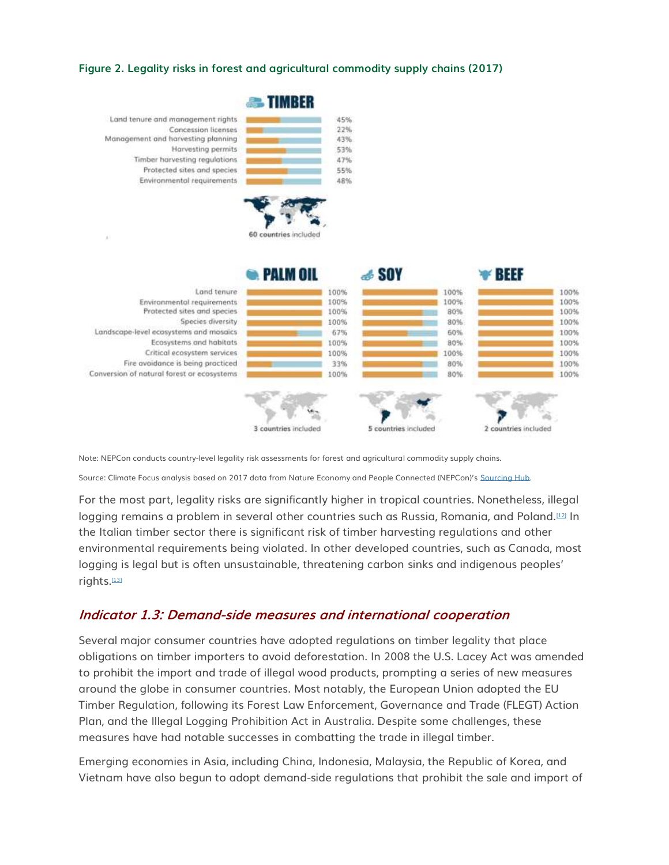#### **Figure 2. Legality risks in forest and agricultural commodity supply chains (2017)**



Note: NEPCon conducts country-level legality risk assessments for forest and agricultural commodity supply chains.

Source: Climate Focus analysis based on 2017 data from Nature Economy and People Connected (NEPCon)'s [Sourcing Hub.](https://www.nepcon.org/sourcinghub)

For the most part, legality risks are significantly higher in tropical countries. Nonetheless, illegal logging remains a problem in several other countries such as Russia, Romania, and Poland.<sup>[\[12\]](http://forestdeclaration.org/goal/goal-10/#_edn12)</sup> In the Italian timber sector there is significant risk of timber harvesting regulations and other environmental requirements being violated. In other developed countries, such as Canada, most logging is legal but is often unsustainable, threatening carbon sinks and indigenous peoples' rights.[\[13\]](http://forestdeclaration.org/goal/goal-10/#_edn13)

#### **Indicator 1.3: Demand-side measures and international cooperation**

Several major consumer countries have adopted regulations on timber legality that place obligations on timber importers to avoid deforestation. In 2008 the U.S. Lacey Act was amended to prohibit the import and trade of illegal wood products, prompting a series of new measures around the globe in consumer countries. Most notably, the European Union adopted the EU Timber Regulation, following its Forest Law Enforcement, Governance and Trade (FLEGT) Action Plan, and the Illegal Logging Prohibition Act in Australia. Despite some challenges, these measures have had notable successes in combatting the trade in illegal timber.

Emerging economies in Asia, including China, Indonesia, Malaysia, the Republic of Korea, and Vietnam have also begun to adopt demand-side regulations that prohibit the sale and import of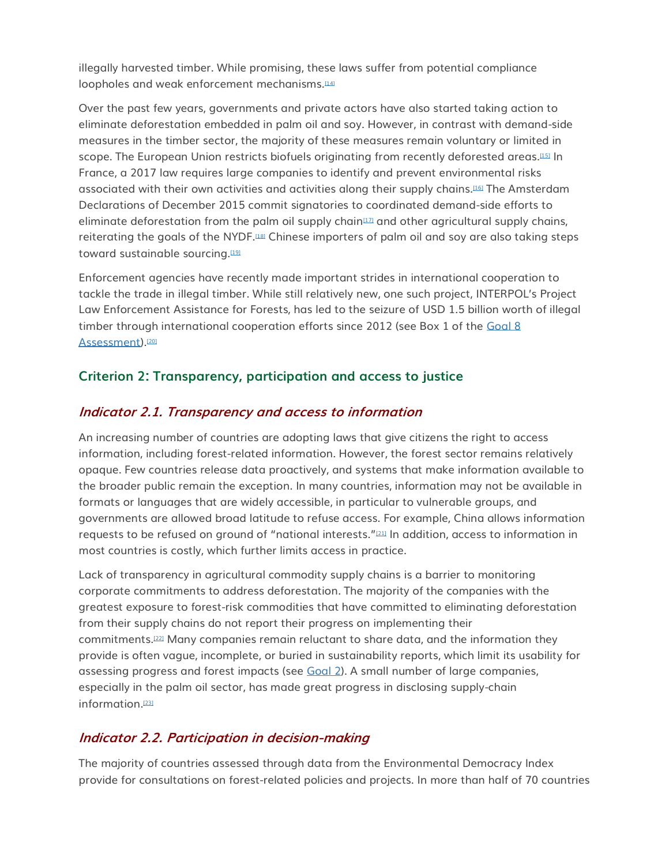illegally harvested timber. While promising, these laws suffer from potential compliance loopholes and weak enforcement mechanisms.[\[14\]](http://forestdeclaration.org/goal/goal-10/#_edn14)

Over the past few years, governments and private actors have also started taking action to eliminate deforestation embedded in palm oil and soy. However, in contrast with demand-side measures in the timber sector, the majority of these measures remain voluntary or limited in scope. The European Union restricts biofuels originating from recently deforested areas.[\[15\]](http://forestdeclaration.org/goal/goal-10/#_edn15) In France, a 2017 law requires large companies to identify and prevent environmental risks associated with their own activities and activities along their supply chains.[\[16\]](http://forestdeclaration.org/goal/goal-10/#_edn16) The Amsterdam Declarations of December 2015 commit signatories to coordinated demand-side efforts to eliminate deforestation from the palm oil supply chain $\mu$  and other agricultural supply chains, reiterating the goals of the NYDF.<sup>[\[18\]](http://forestdeclaration.org/goal/goal-10/#_edn18)</sup> Chinese importers of palm oil and soy are also taking steps toward sustainable sourcing.<sup>[\[19\]](http://forestdeclaration.org/goal/goal-10/#_edn19)</sup>

Enforcement agencies have recently made important strides in international cooperation to tackle the trade in illegal timber. While still relatively new, one such project, INTERPOL's Project Law Enforcement Assistance for Forests, has led to the seizure of USD 1.5 billion worth of illegal timber through international cooperation efforts since 2012 (see Box 1 of the Goal 8 [Assessment\)](http://forestdeclaration.org/goal/goal-8/).<sup>[\[20\]](http://forestdeclaration.org/goal/goal-10/#_edn20)</sup>

#### **Criterion 2: Transparency, participation and access to justice**

#### **Indicator 2.1. Transparency and access to information**

An increasing number of countries are adopting laws that give citizens the right to access information, including forest-related information. However, the forest sector remains relatively opaque. Few countries release data proactively, and systems that make information available to the broader public remain the exception. In many countries, information may not be available in formats or languages that are widely accessible, in particular to vulnerable groups, and governments are allowed broad latitude to refuse access. For example, China allows information requests to be refused on ground of "national interests."<sup>[\[21\]](http://forestdeclaration.org/goal/goal-10/#_edn21)</sup> In addition, access to information in most countries is costly, which further limits access in practice.

Lack of transparency in agricultural commodity supply chains is a barrier to monitoring corporate commitments to address deforestation. The majority of the companies with the greatest exposure to forest-risk commodities that have committed to eliminating deforestation from their supply chains do not report their progress on implementing their commitments.[\[22\]](http://forestdeclaration.org/goal/goal-10/#_edn22) Many companies remain reluctant to share data, and the information they provide is often vague, incomplete, or buried in sustainability reports, which limit its usability for assessing progress and forest impacts (see [Goal 2\)](http://forestdeclaration.org/goal/goal-2/). A small number of large companies, especially in the palm oil sector, has made great progress in disclosing supply-chain information.<sup>[\[23\]](http://forestdeclaration.org/goal/goal-10/#_edn23)</sup>

### **Indicator 2.2. Participation in decision-making**

The majority of countries assessed through data from the Environmental Democracy Index provide for consultations on forest-related policies and projects. In more than half of 70 countries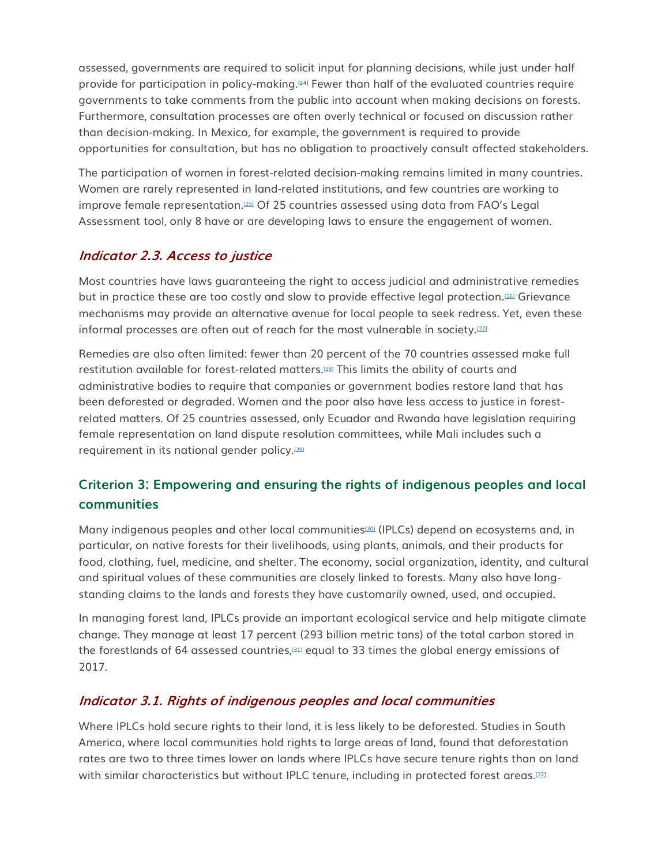assessed, governments are required to solicit input for planning decisions, while just under half provide for participation in policy-making.**[\[24\]](http://forestdeclaration.org/goal/goal-10/#_edn24)** Fewer than half of the evaluated countries require governments to take comments from the public into account when making decisions on forests. Furthermore, consultation processes are often overly technical or focused on discussion rather than decision-making. In Mexico, for example, the government is required to provide opportunities for consultation, but has no obligation to proactively consult affected stakeholders.

The participation of women in forest-related decision-making remains limited in many countries. Women are rarely represented in land-related institutions, and few countries are working to improve female representation.<sup>[\[25\]](http://forestdeclaration.org/goal/goal-10/#_edn25)</sup> Of 25 countries assessed using data from FAO's Legal Assessment tool, only 8 have or are developing laws to ensure the engagement of women.

### **Indicator 2.3. Access to justice**

Most countries have laws guaranteeing the right to access judicial and administrative remedies but in practice these are too costly and slow to provide effective legal protection.[\[26\]](http://forestdeclaration.org/goal/goal-10/#_edn26) Grievance mechanisms may provide an alternative avenue for local people to seek redress. Yet, even these informal processes are often out of reach for the most vulnerable in society.[\[27\]](http://forestdeclaration.org/goal/goal-10/#_edn27)

Remedies are also often limited: fewer than 20 percent of the 70 countries assessed make full restitution available for forest-related matters.[\[28\]](http://forestdeclaration.org/goal/goal-10/#_edn28) This limits the ability of courts and administrative bodies to require that companies or government bodies restore land that has been deforested or degraded. Women and the poor also have less access to justice in forestrelated matters. Of 25 countries assessed, only Ecuador and Rwanda have legislation requiring female representation on land dispute resolution committees, while Mali includes such a requirement in its national gender policy.[\[29\]](http://forestdeclaration.org/goal/goal-10/#_edn29)

## **Criterion 3: Empowering and ensuring the rights of indigenous peoples and local communities**

Many indigenous peoples and other local communities<sup>[\[30\]](http://forestdeclaration.org/goal/goal-10/#_edn30)</sup> (IPLCs) depend on ecosystems and, in particular, on native forests for their livelihoods, using plants, animals, and their products for food, clothing, fuel, medicine, and shelter. The economy, social organization, identity, and cultural and spiritual values of these communities are closely linked to forests. Many also have longstanding claims to the lands and forests they have customarily owned, used, and occupied.

In managing forest land, IPLCs provide an important ecological service and help mitigate climate change. They manage at least 17 percent (293 billion metric tons) of the total carbon stored in the forestlands of 64 assessed countries,[\[31\]](http://forestdeclaration.org/goal/goal-10/#_edn31) equal to 33 times the global energy emissions of 2017.

### **Indicator 3.1. Rights of indigenous peoples and local communities**

Where IPLCs hold secure rights to their land, it is less likely to be deforested. Studies in South America, where local communities hold rights to large areas of land, found that deforestation rates are two to three times lower on lands where IPLCs have secure tenure rights than on land with similar characteristics but without IPLC tenure, including in protected forest areas.<sup>[\[32\]](http://forestdeclaration.org/goal/goal-10/#_edn32)</sup>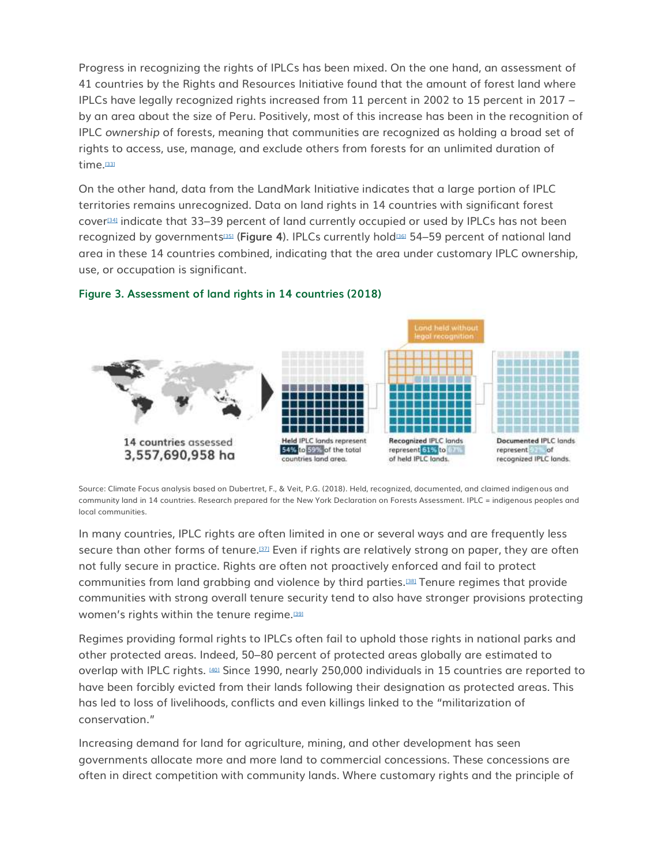Progress in recognizing the rights of IPLCs has been mixed. On the one hand, an assessment of 41 countries by the Rights and Resources Initiative found that the amount of forest land where IPLCs have legally recognized rights increased from 11 percent in 2002 to 15 percent in 2017 – by an area about the size of Peru. Positively, most of this increase has been in the recognition of IPLC *ownership* of forests, meaning that communities are recognized as holding a broad set of rights to access, use, manage, and exclude others from forests for an unlimited duration of time.<sup>[\[33\]](http://forestdeclaration.org/goal/goal-10/#_edn33)</sup>

On the other hand, data from the LandMark Initiative indicates that a large portion of IPLC territories remains unrecognized. Data on land rights in 14 countries with significant forest cover[\[34\]](http://forestdeclaration.org/goal/goal-10/#_edn34) indicate that 33–39 percent of land currently occupied or used by IPLCs has not been recognized by governments[\[35\]](http://forestdeclaration.org/goal/goal-10/#_edn35) (**Figure 4**). IPLCs currently hold[\[36\]](http://forestdeclaration.org/goal/goal-10/#_edn36) 54–59 percent of national land area in these 14 countries combined, indicating that the area under customary IPLC ownership, use, or occupation is significant.



#### **Figure 3. Assessment of land rights in 14 countries (2018)**

Source: Climate Focus analysis based on Dubertret, F., & Veit, P.G. (2018). Held, recognized, documented, and claimed indigenous and community land in 14 countries. Research prepared for the New York Declaration on Forests Assessment. IPLC = indigenous peoples and local communities.

In many countries, IPLC rights are often limited in one or several ways and are frequently less secure than other forms of tenure.[\[37\]](http://forestdeclaration.org/goal/goal-10/#_edn37) Even if rights are relatively strong on paper, they are often not fully secure in practice. Rights are often not proactively enforced and fail to protect communities from land grabbing and violence by third parties.[\[38\]](http://forestdeclaration.org/goal/goal-10/#_edn38) Tenure regimes that provide communities with strong overall tenure security tend to also have stronger provisions protecting women's rights within the tenure regime.<sup>[\[39\]](http://forestdeclaration.org/goal/goal-10/#_edn39)</sup>

Regimes providing formal rights to IPLCs often fail to uphold those rights in national parks and other protected areas. Indeed, 50–80 percent of protected areas globally are estimated to overlap with IPLC rights. [\[40\]](http://forestdeclaration.org/goal/goal-10/#_edn40) Since 1990, nearly 250,000 individuals in 15 countries are reported to have been forcibly evicted from their lands following their designation as protected areas. This has led to loss of livelihoods, conflicts and even killings linked to the "militarization of conservation."

Increasing demand for land for agriculture, mining, and other development has seen governments allocate more and more land to commercial concessions. These concessions are often in direct competition with community lands. Where customary rights and the principle of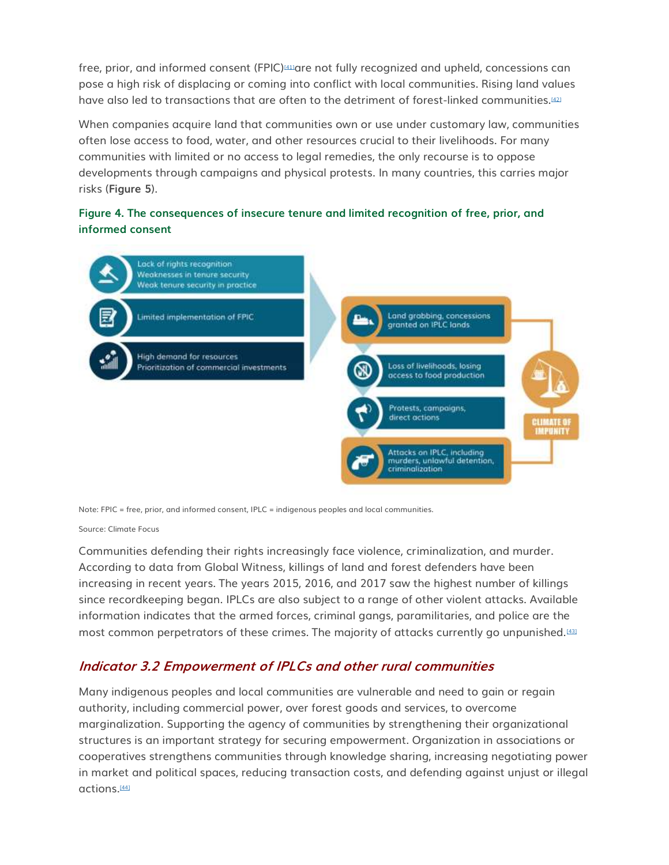free, prior, and informed consent (FPIC)<sup>[\[41\]](http://forestdeclaration.org/goal/goal-10/#_edn41)</sup>are not fully recognized and upheld, concessions can pose a high risk of displacing or coming into conflict with local communities. Rising land values have also led to transactions that are often to the detriment of forest-linked communities.<sup>[\[42\]](http://forestdeclaration.org/goal/goal-10/#_edn42)</sup>

When companies acquire land that communities own or use under customary law, communities often lose access to food, water, and other resources crucial to their livelihoods. For many communities with limited or no access to legal remedies, the only recourse is to oppose developments through campaigns and physical protests. In many countries, this carries major risks (**Figure 5**).

#### **Figure 4. The consequences of insecure tenure and limited recognition of free, prior, and informed consent**



Note: FPIC = free, prior, and informed consent, IPLC = indigenous peoples and local communities.

#### Source: Climate Focus

Communities defending their rights increasingly face violence, criminalization, and murder. According to data from Global Witness, killings of land and forest defenders have been increasing in recent years. The years 2015, 2016, and 2017 saw the highest number of killings since recordkeeping began. IPLCs are also subject to a range of other violent attacks. Available information indicates that the armed forces, criminal gangs, paramilitaries, and police are the most common perpetrators of these crimes. The majority of attacks currently go unpunished.[\[43\]](http://forestdeclaration.org/goal/goal-10/#_edn43)

#### **Indicator 3.2 Empowerment of IPLCs and other rural communities**

Many indigenous peoples and local communities are vulnerable and need to gain or regain authority, including commercial power, over forest goods and services, to overcome marginalization. Supporting the agency of communities by strengthening their organizational structures is an important strategy for securing empowerment. Organization in associations or cooperatives strengthens communities through knowledge sharing, increasing negotiating power in market and political spaces, reducing transaction costs, and defending against unjust or illegal actions.[\[44\]](http://forestdeclaration.org/goal/goal-10/#_edn44)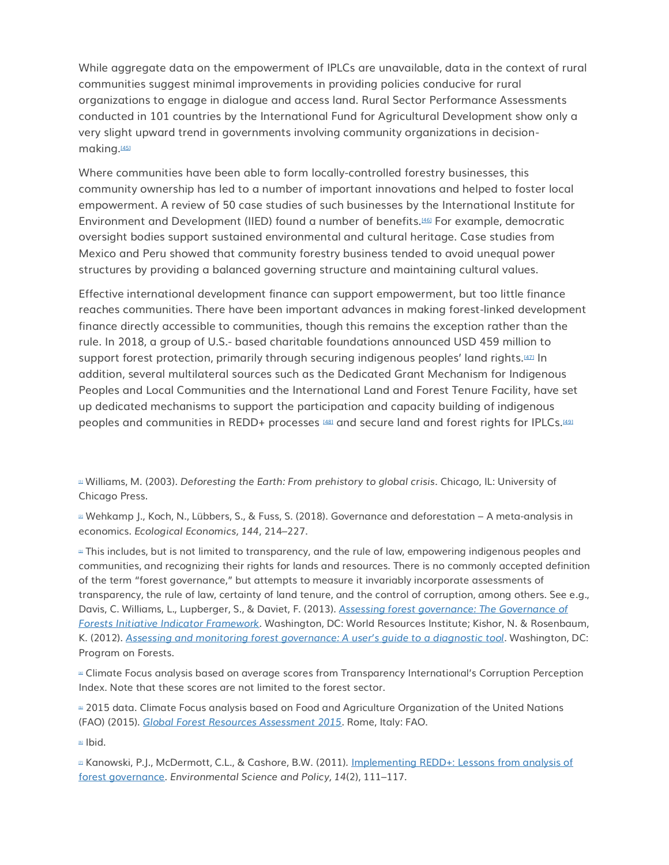While aggregate data on the empowerment of IPLCs are unavailable, data in the context of rural communities suggest minimal improvements in providing policies conducive for rural organizations to engage in dialogue and access land. Rural Sector Performance Assessments conducted in 101 countries by the International Fund for Agricultural Development show only a very slight upward trend in governments involving community organizations in decision-making.<sup>[\[45\]](http://forestdeclaration.org/goal/goal-10/#_edn45)</sup>

Where communities have been able to form locally-controlled forestry businesses, this community ownership has led to a number of important innovations and helped to foster local empowerment. A review of 50 case studies of such businesses by the International Institute for Environment and Development (IIED) found a number of benefits.[\[46\]](http://forestdeclaration.org/goal/goal-10/#_edn46) For example, democratic oversight bodies support sustained environmental and cultural heritage. Case studies from Mexico and Peru showed that community forestry business tended to avoid unequal power structures by providing a balanced governing structure and maintaining cultural values.

Effective international development finance can support empowerment, but too little finance reaches communities. There have been important advances in making forest-linked development finance directly accessible to communities, though this remains the exception rather than the rule. In 2018, a group of U.S.- based charitable foundations announced USD 459 million to support forest protection, primarily through securing indigenous peoples' land rights.[\[47\]](http://forestdeclaration.org/goal/goal-10/#_edn47) In addition, several multilateral sources such as the Dedicated Grant Mechanism for Indigenous Peoples and Local Communities and the International Land and Forest Tenure Facility, have set up dedicated mechanisms to support the participation and capacity building of indigenous peoples and communities in REDD+ processes [\[48\]](http://forestdeclaration.org/goal/goal-10/#_edn48) and secure land and forest rights for IPLCs.<sup>[\[49\]](http://forestdeclaration.org/goal/goal-10/#_edn49)</sup>

[\[1\]](http://forestdeclaration.org/goal/goal-10/#_ednref1) Williams, M. (2003). *Deforesting the Earth: From prehistory to global crisis*. Chicago, IL: University of Chicago Press.

[\[2\]](http://forestdeclaration.org/goal/goal-10/#_ednref2) Wehkamp J., Koch, N., Lübbers, S., & Fuss, S. (2018). Governance and deforestation – A meta-analysis in economics. *Ecological Economics, 144*, 214–227.

 $\mu$  This includes, but is not limited to transparency, and the rule of law, empowering indigenous peoples and communities, and recognizing their rights for lands and resources. There is no commonly accepted definition of the term "forest governance," but attempts to measure it invariably incorporate assessments of transparency, the rule of law, certainty of land tenure, and the control of corruption, among others. See e.g., Davis, C. Williams, L., Lupberger, S., & Daviet, F. (2013). *[Assessing forest governance: The Governance of](https://www.wri.org/sites/default/files/assessing_forest_governance.pdf)  [Forests Initiative Indicator Framework](https://www.wri.org/sites/default/files/assessing_forest_governance.pdf)*. Washington, DC: World Resources Institute; Kishor, N. & Rosenbaum, K. (2012). *[Assessing and monitoring forest governance: A user's guide to a diagnostic tool](https://www.profor.info/sites/profor.info/files/AssessingMonitoringForestGovernance-guide.pdf)*. Washington, DC: Program on Forests.

[\[4\]](http://forestdeclaration.org/goal/goal-10/#_ednref4) Climate Focus analysis based on average scores from Transparency International's Corruption Perception Index. Note that these scores are not limited to the forest sector.

■ 2015 data. Climate Focus analysis based on Food and Agriculture Organization of the United Nations (FAO) (2015). *[Global Forest Resources Assessment 2015](http://www.fao.org/3/a-i4808e.pdf)*. Rome, Italy: FAO.

[\[6\]](http://forestdeclaration.org/goal/goal-10/#_ednref6) Ibid.

<sup>17</sup> Kanowski, P.J., McDermott, C.L., & Cashore, B.W. (2011). Implementing REDD+: Lessons from analysis of [forest governance.](https://www.sciencedirect.com/science/article/pii/S1462901110001620) *Environmental Science and Policy, 14*(2), 111–117.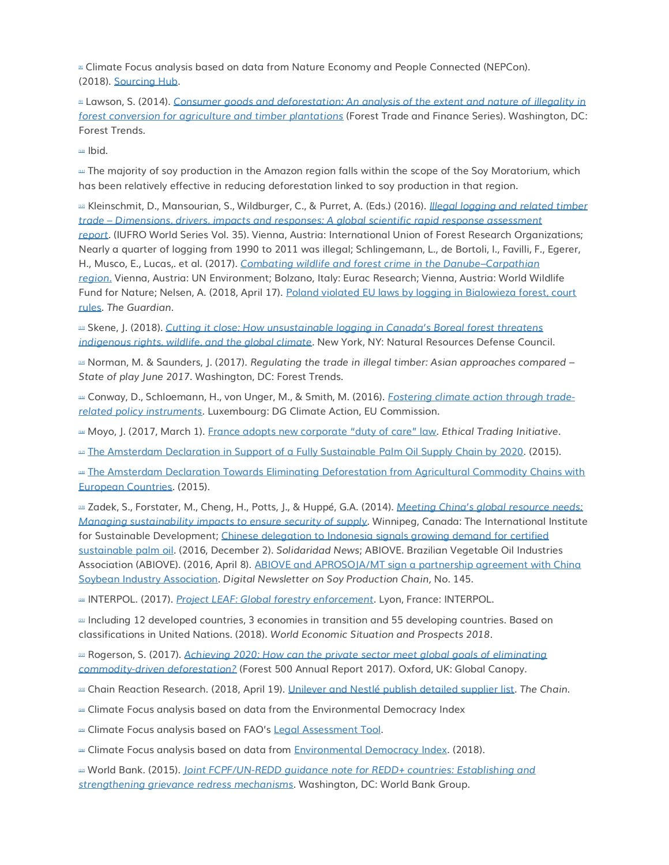**Example Focus analysis based on data from Nature Economy and People Connected (NEPCon).** (2018). [Sourcing Hub.](https://www.nepcon.org/sourcinghub)

[\[9\]](http://forestdeclaration.org/goal/goal-10/#_ednref9) Lawson, S. (2014). *[Consumer goods and deforestation: An analysis of the extent and nature of illegality in](https://www.forest-trends.org/wp-content/uploads/imported/for168-consumer-goods-and-deforestation-letter-14-0916-hr-no-crops_web-pdf.pdf)  [forest conversion for agriculture and timber plantations](https://www.forest-trends.org/wp-content/uploads/imported/for168-consumer-goods-and-deforestation-letter-14-0916-hr-no-crops_web-pdf.pdf)* (Forest Trade and Finance Series). Washington, DC: Forest Trends.

hid

[\[11\]](http://forestdeclaration.org/goal/goal-10/#_ednref11) The majority of soy production in the Amazon region falls within the scope of the Soy Moratorium, which has been relatively effective in reducing deforestation linked to soy production in that region.

[\[12\]](http://forestdeclaration.org/goal/goal-10/#_ednref12) Kleinschmit, D., Mansourian, S., Wildburger, C., & Purret, A. (Eds.) (2016). *[Illegal logging and related timber](https://www.iufro.org/index.php?eID=tx_nawsecuredl&u=0&g=0&hash=682205e69942a145dfbeb0bd428acdefd55840da&file=17672&t=1540292132)  trade – [Dimensions, drivers, impacts and responses: A global scientific rapid response assessment](https://www.iufro.org/index.php?eID=tx_nawsecuredl&u=0&g=0&hash=682205e69942a145dfbeb0bd428acdefd55840da&file=17672&t=1540292132)  [report.](https://www.iufro.org/index.php?eID=tx_nawsecuredl&u=0&g=0&hash=682205e69942a145dfbeb0bd428acdefd55840da&file=17672&t=1540292132)* (IUFRO World Series Vol. 35). Vienna, Austria: International Union of Forest Research Organizations; Nearly a quarter of logging from 1990 to 2011 was illegal; Schlingemann, L., de Bortoli, I., Favilli, F., Egerer, H., Musco, E., Lucas,. et al. (2017). *[Combating wildlife and forest crime in the Danube](https://wedocs.unep.org/bitstream/handle/20.500.11822/22225/Combating_WildlifeCrime_Danube.pdf?sequence=1)–Carpathian [region.](https://wedocs.unep.org/bitstream/handle/20.500.11822/22225/Combating_WildlifeCrime_Danube.pdf?sequence=1)* Vienna, Austria: UN Environment; Bolzano, Italy: Eurac Research; Vienna, Austria: World Wildlife Fund for Nature; Nelsen, A. (2018, April 17). [Poland violated EU laws by logging in Bialowieza forest, court](https://www.theguardian.com/world/2018/apr/17/poland-violated-eu-laws-by-logging-in-biaowieza-forest-says-ecj)  [rules.](https://www.theguardian.com/world/2018/apr/17/poland-violated-eu-laws-by-logging-in-biaowieza-forest-says-ecj) *The Guardian*.

[\[13\]](http://forestdeclaration.org/goal/goal-10/#_ednref13) Skene, J. (2018). *[Cutting it close: How unsustainable logging in Canada's Boreal forest threatens](https://www.nrdc.org/sites/default/files/cutting-it-close-logging-canadas-boreal-report.pdf)  [indigenous rights, wildlife, and the global climate.](https://www.nrdc.org/sites/default/files/cutting-it-close-logging-canadas-boreal-report.pdf)* New York, NY: Natural Resources Defense Council.

[\[14\]](http://forestdeclaration.org/goal/goal-10/#_ednref14) Norman, M. & Saunders, J. (2017). *Regulating the trade in illegal timber: Asian approaches compared – State of play June 2017*. Washington, DC: Forest Trends.

[\[15\]](http://forestdeclaration.org/goal/goal-10/#_ednref15) Conway, D., Schloemann, H., von Unger, M., & Smith, M. (2016). *[Fostering climate action through trade](https://publications.europa.eu/en/publication-detail/-/publication/7221918b-9aa6-11e6-868c-01aa75ed71a1/language-en)[related policy instruments](https://publications.europa.eu/en/publication-detail/-/publication/7221918b-9aa6-11e6-868c-01aa75ed71a1/language-en)*. Luxembourg: DG Climate Action, EU Commission.

[\[16\]](http://forestdeclaration.org/goal/goal-10/#_ednref16) Moyo, J. (2017, March 1). [France adopts new corporate "duty of care" law](https://www.ethicaltrade.org/blog/france-adopts-new-corporate-duty-care-law). *Ethical Trading Initiative*.

Lau [The Amsterdam Declaration in Support of a Fully Sustainable](https://www.euandgvc.nl/documents/publications/2015/december/7/declarations-palm-oil) Palm Oil Supply Chain by 2020. (2015).

**Infermity Chains Mecharation Towards Eliminating Deforestation from Agricultural Commodity Chains with** [European Countries.](https://www.euandgvc.nl/documents/publications/2015/december/7/declarations) (2015).

[\[19\]](http://forestdeclaration.org/goal/goal-10/#_ednref19) Zadek, S., Forstater, M., Cheng, H., Potts, J., & Huppé, G.A. (2014). *[Meeting China's global resource needs:](https://www.iisd.org/sites/default/files/publications/china_supply_synthesis_report.pdf)  [Managing sustainability impacts to ensure security of supply](https://www.iisd.org/sites/default/files/publications/china_supply_synthesis_report.pdf)*. Winnipeg, Canada: The International Institute for Sustainable Development; [Chinese delegation to Indonesia signals growing demand for certified](http://bit.ly/2hHCWCY)  [sustainable palm oil.](http://bit.ly/2hHCWCY) (2016, December 2). *Solidaridad News*; ABIOVE. Brazilian Vegetable Oil Industries Association (ABIOVE). (2016, April 8). [ABIOVE and APROSOJA/MT sign a partnership agreement with China](http://www.abiove.org.br/site/_FILES/English/10042016-121059-10_04_2016_-_informativo_145_abiove-china_-_english_version.pdf)  [Soybean Industry Association.](http://www.abiove.org.br/site/_FILES/English/10042016-121059-10_04_2016_-_informativo_145_abiove-china_-_english_version.pdf) *Digital Newsletter on Soy Production Chain,* No. 145.

[\[20\]](http://forestdeclaration.org/goal/goal-10/#_ednref20) INTERPOL. (2017). *[Project LEAF: Global forestry enforcement](https://www.interpol.int/content/download/35230/458253/version/6/file/LEAF%20Prospectus%20NOV17_web.pdf)*. Lyon, France: INTERPOL.

 $21$  Including 12 developed countries, 3 economies in transition and 55 developing countries. Based on classifications in United Nations. (2018). *World Economic Situation and Prospects 2018*.

 $\approx$  Rogerson, S. (2017). Achieving 2020: How can the private sector meet global goals of eliminating *[commodity-driven deforestation?](https://forest500.org/sites/default/files/related-documents/f500-annual-web_1.pdf)* (Forest 500 Annual Report 2017). Oxford, UK: Global Canopy.

[\[23\]](http://forestdeclaration.org/goal/goal-10/#_ednref23) Chain Reaction Research. (2018, April 19). [Unilever and Nestlé publish detailed supplier list.](https://chainreactionresearch.com/the-chain-unilever-and-nestle-publish-detailed-supplier-lists/) *The Chain*.

[\[24\]](http://forestdeclaration.org/goal/goal-10/#_ednref24) Climate Focus analysis based on data from the Environmental Democracy Index

**25** Climate Focus analysis based on FAO's [Legal Assessment Tool.](http://www.fao.org/gender-landrights-database/legislation-assessment-tool/en/)

**DEE** Climate Focus analysis based on data from [Environmental Democracy Index.](https://environmentaldemocracyindex.org/) (2018).

[\[27\]](http://forestdeclaration.org/goal/goal-10/#_ednref27) World Bank. (2015). *[Joint FCPF/UN-REDD guidance note for REDD+ countries: Establishing and](https://www.forestcarbonpartnership.org/sites/fcp/files/2015/May/Joint%20FCPF-UNREDD%20Guidance%20Note%20on%20GRM_May2015_FINAL.pdf)  [strengthening grievance redress mechanisms](https://www.forestcarbonpartnership.org/sites/fcp/files/2015/May/Joint%20FCPF-UNREDD%20Guidance%20Note%20on%20GRM_May2015_FINAL.pdf)*. Washington, DC: World Bank Group.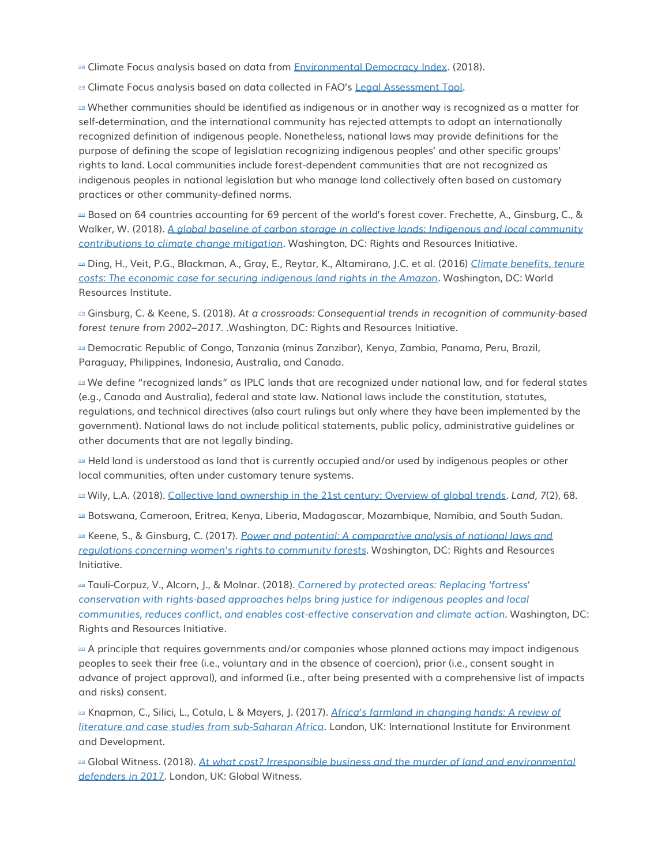**as Climate Focus analysis based on data from [Environmental Democracy Index.](https://environmentaldemocracyindex.org/) (2018).** 

**E29** Climate Focus analysis based on data collected in FAO's [Legal Assessment Tool.](http://www.fao.org/gender-landrights-database/legislation-assessment-tool/en/)

[\[30\]](http://forestdeclaration.org/goal/goal-10/#_ednref30) Whether communities should be identified as indigenous or in another way is recognized as a matter for self-determination, and the international community has rejected attempts to adopt an internationally recognized definition of indigenous people. Nonetheless, national laws may provide definitions for the purpose of defining the scope of legislation recognizing indigenous peoples' and other specific groups' rights to land. Local communities include forest-dependent communities that are not recognized as indigenous peoples in national legislation but who manage land collectively often based on customary practices or other community-defined norms.

 $21$  Based on 64 countries accounting for 69 percent of the world's forest cover. Frechette, A., Ginsburg, C., & Walker, W. (2018). *A global baseline [of carbon storage in collective lands: Indigenous and local community](https://rightsandresources.org/wp-content/uploads/2018/09/A-Global-Baseline_RRI_Sept-2018.pdf)  [contributions to climate change mitigation](https://rightsandresources.org/wp-content/uploads/2018/09/A-Global-Baseline_RRI_Sept-2018.pdf)*. Washington, DC: Rights and Resources Initiative.

[\[32\]](http://forestdeclaration.org/goal/goal-10/#_ednref32) Ding, H., Veit, P.G., Blackman, A., Gray, E., Reytar, K., Altamirano, J.C. et al. (2016) *[Climate benefits, tenure](https://www.wri.org/sites/default/files/Climate_Benefits_Tenure_Costs.pdf)  [costs: The economic case for securing indigenous land rights in the Amazon](https://www.wri.org/sites/default/files/Climate_Benefits_Tenure_Costs.pdf)*. Washington, DC: World Resources Institute.

[\[33\]](http://forestdeclaration.org/goal/goal-10/#_ednref33) Ginsburg, C. & Keene, S. (2018). *At a crossroads: Consequential trends in recognition of community-based forest tenure from 2002–2017. .*Washington, DC: Rights and Resources Initiative.

[\[34\]](http://forestdeclaration.org/goal/goal-10/#_ednref34) Democratic Republic of Congo, Tanzania (minus Zanzibar), Kenya, Zambia, Panama, Peru, Brazil, Paraguay, Philippines, Indonesia, Australia, and Canada.

[\[35\]](http://forestdeclaration.org/goal/goal-10/#_ednref35) We define "recognized lands" as IPLC lands that are recognized under national law, and for federal states (e.g., Canada and Australia), federal and state law. National laws include the constitution, statutes, regulations, and technical directives (also court rulings but only where they have been implemented by the government). National laws do not include political statements, public policy, administrative guidelines or other documents that are not legally binding.

[\[36\]](http://forestdeclaration.org/goal/goal-10/#_ednref36) Held land is understood as land that is currently occupied and/or used by indigenous peoples or other local communities, often under customary tenure systems.

[\[37\]](http://forestdeclaration.org/goal/goal-10/#_ednref37) Wily, L.A. (2018). [Collective land ownership in the 21st century: Overview of global trends](https://doi.org/10.3390/land7020068)*. Land, 7*(2), 68.

[\[38\]](http://forestdeclaration.org/goal/goal-10/#_ednref38) Botswana, Cameroon, Eritrea, Kenya, Liberia, Madagascar, Mozambique, Namibia, and South Sudan.

[\[39\]](http://forestdeclaration.org/goal/goal-10/#_ednref39) Keene, S., & Ginsburg, C. (2017). *[Power and potential: A comparative analysis of national laws and](http://rightsandresources.org/wp-content/uploads/2017/05/Power_and_Potential_Final_EN_May_2017_RRI.pdf)  [regulations concerning women's rights to community](http://rightsandresources.org/wp-content/uploads/2017/05/Power_and_Potential_Final_EN_May_2017_RRI.pdf) forests*. Washington, DC: Rights and Resources Initiative.

[\[40\]](http://forestdeclaration.org/goal/goal-10/#_ednref40) Tauli-Corpuz, V., Alcorn, J., & Molnar. (2018). *Cornered by protect[ed areas: Replacing 'fortress'](https://www.corneredbypas.com/brief)  [conservation with rights-based approaches helps bring justice for indigenous peoples and local](https://www.corneredbypas.com/brief)  [communities, reduces conflict, and enables cost-effective conservation and climate action](https://www.corneredbypas.com/brief)*. Washington, DC: Rights and Resources Initiative.

[\[41\]](http://forestdeclaration.org/goal/goal-10/#_ednref41) A principle that requires governments and/or companies whose planned actions may impact indigenous peoples to seek their free (i.e., voluntary and in the absence of coercion), prior (i.e., consent sought in advance of project approval), and informed (i.e., after being presented with a comprehensive list of impacts and risks) consent.

[\[42\]](http://forestdeclaration.org/goal/goal-10/#_ednref42) Knapman, C., Silici, L., Cotula, L & Mayers, J. (2017). *[Africa's farmland in changing hands: A review of](http://pubs.iied.org/17598IIED/)  [literature and case studies from sub-Saharan Africa](http://pubs.iied.org/17598IIED/)*. London, UK: International Institute for Environment and Development.

[\[43\]](http://forestdeclaration.org/goal/goal-10/#_ednref43) Global Witness. (2018). *[At what cost? Irresponsible business and the murder of land and environmental](https://www.globalwitness.org/en/campaigns/environmental-activists/at-what-cost/)  [defenders in 2017](https://www.globalwitness.org/en/campaigns/environmental-activists/at-what-cost/)*. London, UK: Global Witness.